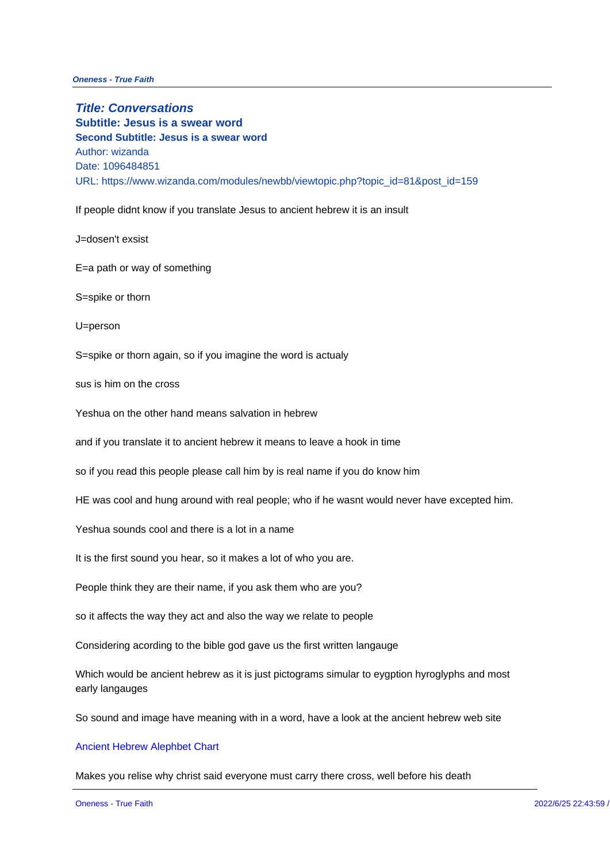**Oneness - True Faith**

**Title: Conversations Subtitle: Jesus is a swear word Second Subtitle: Jesus is a swear word** Author: wizanda Date: 1096484851 URL: https://www.wizanda.com/modules/newbb/viewtopic.php?topic\_id=81&p

If people didnt know if you translate Jesus to ancient hebrew it is an insult

J=dosen't exsist

 $E=a$  path or way of something

S=spike or thorn

 $U = p e r s o n$ 

S=spike or thorn again, so if you imagine the word is actualy

sus is him on the cross

Yeshua on the other hand means salvation in hebrew

and if you translate it to ancient hebrew it means to leave a hook in time

so if you read this people please call him by is real name if you do know hi

HE was cool and hung around with real people; who if he wasnt would neve

Yeshua sounds cool and there is a lot in a name

It is the first sound you hear, so it makes a lot of who you are.

People think they are their name, if you ask them who are you?

so it affects the way they act and also the way we relate to people

Considering acording to the bible god gave us the first written langauge

Which would be ancient hebrew as it is just pictograms simular to eygption early langauges

So sound and image have meaning with in a word, have a look at the ancier

## Ancient Hebrew Alephbet Chart

Makes you relise why christ said everyone must carry there cross, well before